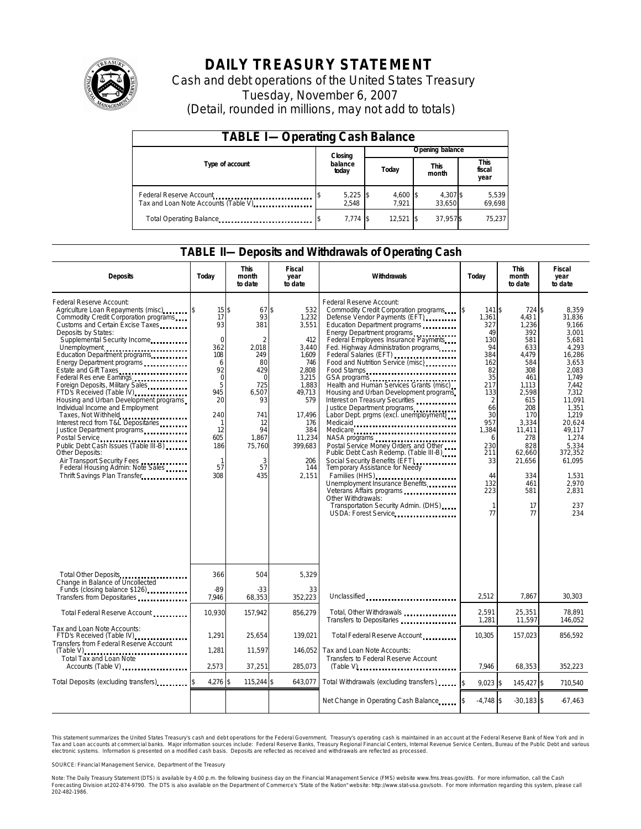

# **DAILY TREASURY STATEMENT**

Cash and debt operations of the United States Treasury Tuesday, November 6, 2007 (Detail, rounded in millions, may not add to totals)

| <b>TABLE I-Operating Cash Balance</b>                            |  |                                      |  |                     |  |                      |  |                               |
|------------------------------------------------------------------|--|--------------------------------------|--|---------------------|--|----------------------|--|-------------------------------|
|                                                                  |  | Closing<br>balance<br>Today<br>today |  | Opening balance     |  |                      |  |                               |
| Type of account                                                  |  |                                      |  |                     |  | <b>This</b><br>month |  | <b>This</b><br>fiscal<br>year |
| Federal Reserve Account<br>Tax and Loan Note Accounts (Table V). |  | $5,225$ \$<br>2.548                  |  | $4,600$ \$<br>7.921 |  | 4.307 \$<br>33.650   |  | 5,539<br>69,698               |
| Total Operating Balance                                          |  | $7.774$ \$                           |  | $12.521$ \\$        |  | 37.957\$             |  | 75.237                        |

### **TABLE II—Deposits and Withdrawals of Operating Cash**

| <b>Deposits</b>                                                                                                                                                                                                                                                                                                                                                                                                                                                                                                                                                                                                                                                                                                                                     | Today                                                                                                                                                                | <b>This</b><br>month<br>to date                                                                                                                            | <b>Fiscal</b><br>year<br>to date                                                                                                                                      | Withdrawals                                                                                                                                                                                                                                                                                                                                                                                                                                                                                                                                                                                                                                                                                                                                                                                                                                                                                                                | Today                                                                                                                                                                                                    | <b>This</b><br>month<br>to date                                                                                                                                                                          | <b>Fiscal</b><br>year<br>to date                                                                                                                                                                                                           |
|-----------------------------------------------------------------------------------------------------------------------------------------------------------------------------------------------------------------------------------------------------------------------------------------------------------------------------------------------------------------------------------------------------------------------------------------------------------------------------------------------------------------------------------------------------------------------------------------------------------------------------------------------------------------------------------------------------------------------------------------------------|----------------------------------------------------------------------------------------------------------------------------------------------------------------------|------------------------------------------------------------------------------------------------------------------------------------------------------------|-----------------------------------------------------------------------------------------------------------------------------------------------------------------------|----------------------------------------------------------------------------------------------------------------------------------------------------------------------------------------------------------------------------------------------------------------------------------------------------------------------------------------------------------------------------------------------------------------------------------------------------------------------------------------------------------------------------------------------------------------------------------------------------------------------------------------------------------------------------------------------------------------------------------------------------------------------------------------------------------------------------------------------------------------------------------------------------------------------------|----------------------------------------------------------------------------------------------------------------------------------------------------------------------------------------------------------|----------------------------------------------------------------------------------------------------------------------------------------------------------------------------------------------------------|--------------------------------------------------------------------------------------------------------------------------------------------------------------------------------------------------------------------------------------------|
| Federal Reserve Account:<br>Agriculture Loan Repayments (misc)<br>Commodity Credit Corporation programs<br>Customs and Certain Excise Taxes<br>Deposits by States:<br>Supplemental Security Income<br>Unemployment<br>Education Department programs<br>Energy Department programs<br>Estate and Gift Taxes<br>Federal Res erve Earnings<br>Foreign Deposits, Military Sales<br>FTD's Received (Table IV)<br>Housing and Urban Development programs<br>Individual Income and Employment<br>Taxes, Not Withheld<br>Interest recd from T&L Depositaries<br>Justice Department programs<br>Public Debt Cash Issues (Table III-B)<br>Other Deposits:<br>Air Transport Security Fees<br>Federal Housing Admin: Note Sales<br>Thrift Savings Plan Transfer | $15$ \$<br>17<br>93<br>$\mathbf 0$<br>362<br>108<br>6<br>92<br>$\mathbf 0$<br>5<br>945<br>20<br>240<br>$\mathbf{1}$<br>12<br>605<br>186<br>$\mathbf{1}$<br>57<br>308 | 67\$<br>93<br>381<br>$\overline{2}$<br>2.018<br>249<br>80<br>429<br>$\Omega$<br>725<br>6.507<br>93<br>741<br>12<br>94<br>1,867<br>75,760<br>3<br>57<br>435 | 532<br>1,232<br>3,551<br>412<br>3,440<br>1,609<br>746<br>2,808<br>3,215<br>1.883<br>49.713<br>579<br>17,496<br>176<br>384<br>11,234<br>399,683<br>206<br>144<br>2,151 | Federal Reserve Account:<br>Commodity Credit Corporation programs<br>Defense Vendor Payments (EFT)<br>Education Department programs<br>Energy Department programs<br>Federal Employees Insurance Payments<br>Fed. Highway Administration programs<br>Federal Salaries (EFT)<br>Federal Salaries (EFT)<br>Food and Nutrition Service (misc)<br>Food Stamps<br>GSA programs<br>Health and Human Services Grants (misc)<br>Housing and Urban Development programs<br>Interest on Treasury Securities<br>Justice Department programs<br>Labor Dept. prgms (excl. unemployment)<br>Medicaid<br>Medicare<br>NASA programs<br>Postal Service Money Orders and Other<br>Public Debt Cash Redemp. (Table III-B)<br>Social Security Benefits (EFT)<br><br>Tem porary Assistance for Needy<br>Families (HHS)<br>Unemployment Insurance Benefits<br>Other Withdrawals:<br>Transportation Security Admin. (DHS)<br>USDA: Forest Service | \$<br>141 \$<br>1,361<br>327<br>49<br>130<br>94<br>384<br>162<br>82<br>35<br>217<br>133<br>$\overline{2}$<br>66<br>30<br>957<br>1,384<br>6<br>230<br>211<br>33<br>44<br>132<br>223<br>$\mathbf{1}$<br>77 | 724 \$<br>4,431<br>1,236<br>392<br>581<br>633<br>4,479<br>584<br>308<br>461<br>1.113<br>2,598<br>615<br>208<br>170<br>3,334<br>11,411<br>278<br>828<br>62,660<br>21,656<br>334<br>461<br>581<br>17<br>77 | 8.359<br>31,836<br>9.166<br>3,001<br>5.681<br>4.293<br>16,286<br>3,653<br>2.083<br>1.749<br>7.442<br>7.312<br>11.091<br>1,351<br>1.219<br>20.624<br>49.117<br>1.274<br>5,334<br>372.352<br>61,095<br>1,531<br>2,970<br>2.831<br>237<br>234 |
| Total Other Deposits<br>Change in Balance of Uncollected<br>Funds (closing balance \$126)<br>Funds                                                                                                                                                                                                                                                                                                                                                                                                                                                                                                                                                                                                                                                  | 366<br>$-89$                                                                                                                                                         | 504<br>-33                                                                                                                                                 | 5,329<br>33                                                                                                                                                           |                                                                                                                                                                                                                                                                                                                                                                                                                                                                                                                                                                                                                                                                                                                                                                                                                                                                                                                            |                                                                                                                                                                                                          |                                                                                                                                                                                                          |                                                                                                                                                                                                                                            |
| Transfers from Depositaries                                                                                                                                                                                                                                                                                                                                                                                                                                                                                                                                                                                                                                                                                                                         | 7,946                                                                                                                                                                | 68,353                                                                                                                                                     | 352.223                                                                                                                                                               | Unclassified                                                                                                                                                                                                                                                                                                                                                                                                                                                                                                                                                                                                                                                                                                                                                                                                                                                                                                               | 2,512                                                                                                                                                                                                    | 7.867                                                                                                                                                                                                    | 30,303                                                                                                                                                                                                                                     |
| Total Federal Reserve Account                                                                                                                                                                                                                                                                                                                                                                                                                                                                                                                                                                                                                                                                                                                       | 10,930                                                                                                                                                               | 157,942                                                                                                                                                    | 856,279                                                                                                                                                               | Total, Other Withdrawals<br>Transfers to Depositaries                                                                                                                                                                                                                                                                                                                                                                                                                                                                                                                                                                                                                                                                                                                                                                                                                                                                      | 2.591<br>1,281                                                                                                                                                                                           | 25.351<br>11,597                                                                                                                                                                                         | 78.891<br>146,052                                                                                                                                                                                                                          |
| Tax and Loan Note Accounts:<br>FTD's Received (Table IV)<br>Transfers from Federal Reserve Account                                                                                                                                                                                                                                                                                                                                                                                                                                                                                                                                                                                                                                                  | 1,291                                                                                                                                                                | 25,654                                                                                                                                                     | 139,021                                                                                                                                                               | Total Federal Reserve Account                                                                                                                                                                                                                                                                                                                                                                                                                                                                                                                                                                                                                                                                                                                                                                                                                                                                                              | 10,305                                                                                                                                                                                                   | 157,023                                                                                                                                                                                                  | 856,592                                                                                                                                                                                                                                    |
| <b>Total Tax and Loan Note</b><br>Accounts (Table V)                                                                                                                                                                                                                                                                                                                                                                                                                                                                                                                                                                                                                                                                                                | 1,281<br>2,573                                                                                                                                                       | 11,597<br>37,251                                                                                                                                           | 146,052<br>285,073                                                                                                                                                    | Tax and Loan Note Accounts:<br>Transfers to Federal Reserve Account                                                                                                                                                                                                                                                                                                                                                                                                                                                                                                                                                                                                                                                                                                                                                                                                                                                        | 7.946                                                                                                                                                                                                    | 68.353                                                                                                                                                                                                   | 352,223                                                                                                                                                                                                                                    |
| Total Deposits (excluding transfers)                                                                                                                                                                                                                                                                                                                                                                                                                                                                                                                                                                                                                                                                                                                | 4,276 \$                                                                                                                                                             | 115,244                                                                                                                                                    | 1\$<br>643,077                                                                                                                                                        | Total Withdrawals (excluding transfers)                                                                                                                                                                                                                                                                                                                                                                                                                                                                                                                                                                                                                                                                                                                                                                                                                                                                                    | $9.023$ \$                                                                                                                                                                                               | 145.427 \$                                                                                                                                                                                               | 710.540                                                                                                                                                                                                                                    |
|                                                                                                                                                                                                                                                                                                                                                                                                                                                                                                                                                                                                                                                                                                                                                     |                                                                                                                                                                      |                                                                                                                                                            |                                                                                                                                                                       | Net Change in Operating Cash Balance                                                                                                                                                                                                                                                                                                                                                                                                                                                                                                                                                                                                                                                                                                                                                                                                                                                                                       | $-4.748$ \$                                                                                                                                                                                              | $-30.183$ \$                                                                                                                                                                                             | $-67,463$                                                                                                                                                                                                                                  |

This statement summarizes the United States Treasury's cash and debt operations for the Federal Government. Treasury's operating cash is maintained in an account at the Federal Reserve Bank of New York and in Tax and Loan accounts at commercial banks. Major information sources include: Federal Reserve Banks, Treasury Regional Financial Centers, Internal Revenue Service Centers, Bureau of the Public Debt and various<br>electronic s

SOURCE: Financial Management Service, Department of the Treasury

Note: The Daily Treasury Statement (DTS) is available by 4:00 p.m. the following business day on the Financial Management Service (FMS) website www.fms.treas.gov/dts.<br>Forecasting Division at 202-874-9790. The DTS is also a 'S) is available by 4:00 p.m. the following business day on the Financial Management Service (FMS) website www.fms.treas.gov/dts. For more information, call the Cash<br>The DTS is also available on the Department of Commerce'